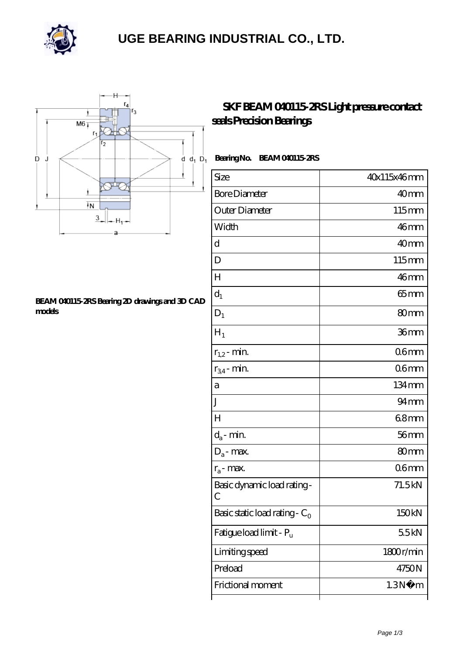

### **[UGE BEARING INDUSTRIAL CO., LTD.](https://m.rerkm.com)**



#### **[BEAM 040115-2RS Bearing 2D drawings and 3D CAD](https://m.rerkm.com/pic-151539.html) [models](https://m.rerkm.com/pic-151539.html)**

### **[SKF BEAM 040115-2RS Light pressure contact](https://m.rerkm.com/bj-151539-skf-beam-040115-2rs-light-pressure-contact-seals-precision-bearings.html) [seals Precision Bearings](https://m.rerkm.com/bj-151539-skf-beam-040115-2rs-light-pressure-contact-seals-precision-bearings.html)**

#### **Bearing No. BEAM 040115-2RS**

| Size                                         | 40x115x46mm      |
|----------------------------------------------|------------------|
| <b>Bore Diameter</b>                         | 40 <sub>mm</sub> |
| Outer Diameter                               | 115mm            |
| Width                                        | $46 \text{mm}$   |
| d                                            | 40 <sub>mm</sub> |
| D                                            | 115mm            |
| Н                                            | 46 <sub>mm</sub> |
| $d_1$                                        | $65$ mm          |
| $D_1$                                        | 80mm             |
| $H_1$                                        | 36mm             |
| $r_{1,2}$ - min.                             | 06 <sub>mm</sub> |
| $r_{34}$ - min.                              | 06 <sub>mm</sub> |
| a                                            | 134mm            |
| $_{\rm J}$                                   | $94 \text{mm}$   |
| $H_{\rm}$                                    | 68mm             |
| $d_a$ - min.                                 | $56$ mm          |
| $D_a$ - max.                                 | 80mm             |
| $r_a$ - max.                                 | 06 <sub>mm</sub> |
| Basic dynamic load rating-<br>$\overline{C}$ | 71.5kN           |
| Basic static load rating - $\mathrm{C}_0$    | 150kN            |
| Fatigue load limit - Pu                      | 55kN             |
| Limiting speed                               | 1800r/min        |
| Preload                                      | 4750N            |
| Frictional moment                            | 1.3N<br>m        |
|                                              |                  |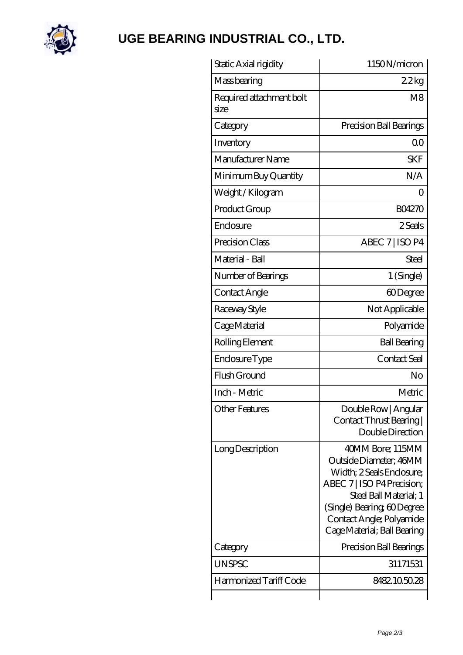

# **[UGE BEARING INDUSTRIAL CO., LTD.](https://m.rerkm.com)**

| Static Axial rigidity            | 1150N/micron                                                                                                                                                                                                            |
|----------------------------------|-------------------------------------------------------------------------------------------------------------------------------------------------------------------------------------------------------------------------|
| Mass bearing                     | 22kg                                                                                                                                                                                                                    |
| Required attachment bolt<br>size | M <sub>8</sub>                                                                                                                                                                                                          |
| Category                         | Precision Ball Bearings                                                                                                                                                                                                 |
| Inventory                        | 0 <sup>0</sup>                                                                                                                                                                                                          |
| Manufacturer Name                | <b>SKF</b>                                                                                                                                                                                                              |
| Minimum Buy Quantity             | N/A                                                                                                                                                                                                                     |
| Weight / Kilogram                | Ο                                                                                                                                                                                                                       |
| Product Group                    | <b>BO4270</b>                                                                                                                                                                                                           |
| Enclosure                        | 2 Seals                                                                                                                                                                                                                 |
| Precision Class                  | ABEC 7   ISO P4                                                                                                                                                                                                         |
| Material - Ball                  | Steel                                                                                                                                                                                                                   |
| Number of Bearings               | 1 (Single)                                                                                                                                                                                                              |
| Contact Angle                    | 60Degree                                                                                                                                                                                                                |
| Raceway Style                    | Not Applicable                                                                                                                                                                                                          |
| Cage Material                    | Polyamide                                                                                                                                                                                                               |
| Rolling Element                  | <b>Ball Bearing</b>                                                                                                                                                                                                     |
| Enclosure Type                   | Contact Seal                                                                                                                                                                                                            |
| Flush Ground                     | No                                                                                                                                                                                                                      |
| Inch - Metric                    | Metric                                                                                                                                                                                                                  |
| <b>Other Features</b>            | Double Row   Angular<br>Contact Thrust Bearing<br>Double Direction                                                                                                                                                      |
| Long Description                 | 40MM Bore; 115MM<br>Outside Diameter; 46MM<br>Width; 2 Seals Enclosure;<br>ABEC 7   ISO P4 Precision;<br>Steel Ball Material; 1<br>(Single) Bearing 60Degree<br>Contact Angle; Polyamide<br>Cage Material; Ball Bearing |
| Category                         | Precision Ball Bearings                                                                                                                                                                                                 |
| <b>UNSPSC</b>                    | 31171531                                                                                                                                                                                                                |
| Harmonized Tariff Code           | 8482105028                                                                                                                                                                                                              |
|                                  |                                                                                                                                                                                                                         |